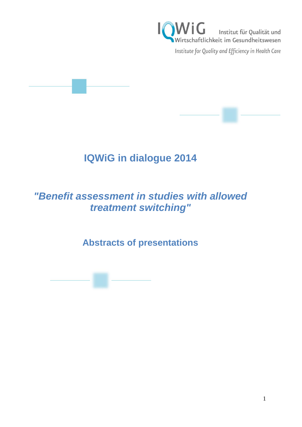

# **IQWiG in dialogue 2014**

# *"Benefit assessment in studies with allowed treatment switching"*

**Abstracts of presentations**

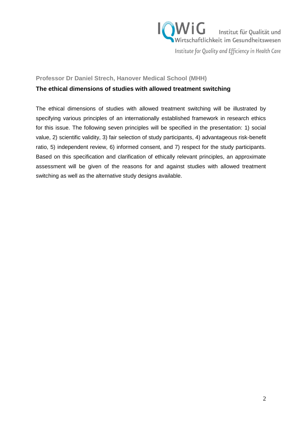

**Professor Dr Daniel Strech, Hanover Medical School (MHH)**

### **The ethical dimensions of studies with allowed treatment switching**

The ethical dimensions of studies with allowed treatment switching will be illustrated by specifying various principles of an internationally established framework in research ethics for this issue. The following seven principles will be specified in the presentation: 1) social value, 2) scientific validity, 3) fair selection of study participants, 4) advantageous risk-benefit ratio, 5) independent review, 6) informed consent, and 7) respect for the study participants. Based on this specification and clarification of ethically relevant principles, an approximate assessment will be given of the reasons for and against studies with allowed treatment switching as well as the alternative study designs available.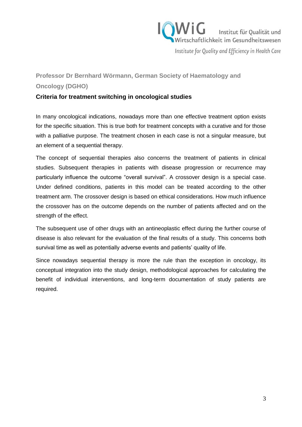

## **Professor Dr Bernhard Wörmann, German Society of Haematology and Oncology (DGHO)**

### **Criteria for treatment switching in oncological studies**

In many oncological indications, nowadays more than one effective treatment option exists for the specific situation. This is true both for treatment concepts with a curative and for those with a palliative purpose. The treatment chosen in each case is not a singular measure, but an element of a sequential therapy.

The concept of sequential therapies also concerns the treatment of patients in clinical studies. Subsequent therapies in patients with disease progression or recurrence may particularly influence the outcome "overall survival". A crossover design is a special case. Under defined conditions, patients in this model can be treated according to the other treatment arm. The crossover design is based on ethical considerations. How much influence the crossover has on the outcome depends on the number of patients affected and on the strength of the effect.

The subsequent use of other drugs with an antineoplastic effect during the further course of disease is also relevant for the evaluation of the final results of a study. This concerns both survival time as well as potentially adverse events and patients' quality of life.

Since nowadays sequential therapy is more the rule than the exception in oncology, its conceptual integration into the study design, methodological approaches for calculating the benefit of individual interventions, and long-term documentation of study patients are required.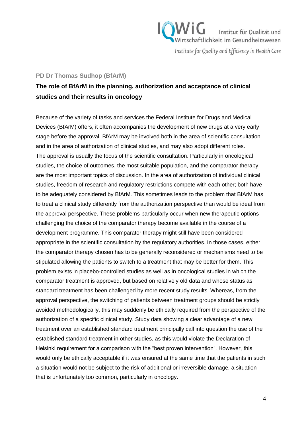

#### **PD Dr Thomas Sudhop (BfArM)**

## **The role of BfArM in the planning, authorization and acceptance of clinical studies and their results in oncology**

Because of the variety of tasks and services the Federal Institute for Drugs and Medical Devices (BfArM) offers, it often accompanies the development of new drugs at a very early stage before the approval. BfArM may be involved both in the area of scientific consultation and in the area of authorization of clinical studies, and may also adopt different roles. The approval is usually the focus of the scientific consultation. Particularly in oncological studies, the choice of outcomes, the most suitable population, and the comparator therapy are the most important topics of discussion. In the area of authorization of individual clinical studies, freedom of research and regulatory restrictions compete with each other; both have to be adequately considered by BfArM. This sometimes leads to the problem that BfArM has to treat a clinical study differently from the authorization perspective than would be ideal from the approval perspective. These problems particularly occur when new therapeutic options challenging the choice of the comparator therapy become available in the course of a development programme. This comparator therapy might still have been considered appropriate in the scientific consultation by the regulatory authorities. In those cases, either the comparator therapy chosen has to be generally reconsidered or mechanisms need to be stipulated allowing the patients to switch to a treatment that may be better for them. This problem exists in placebo-controlled studies as well as in oncological studies in which the comparator treatment is approved, but based on relatively old data and whose status as standard treatment has been challenged by more recent study results. Whereas, from the approval perspective, the switching of patients between treatment groups should be strictly avoided methodologically, this may suddenly be ethically required from the perspective of the authorization of a specific clinical study. Study data showing a clear advantage of a new treatment over an established standard treatment principally call into question the use of the established standard treatment in other studies, as this would violate the Declaration of Helsinki requirement for a comparison with the "best proven intervention". However, this would only be ethically acceptable if it was ensured at the same time that the patients in such a situation would not be subject to the risk of additional or irreversible damage, a situation that is unfortunately too common, particularly in oncology.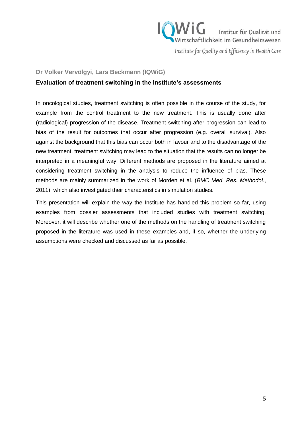

#### **Dr Volker Vervölgyi, Lars Beckmann (IQWiG)**

#### **Evaluation of treatment switching in the Institute's assessments**

In oncological studies, treatment switching is often possible in the course of the study, for example from the control treatment to the new treatment. This is usually done after (radiological) progression of the disease. Treatment switching after progression can lead to bias of the result for outcomes that occur after progression (e.g. overall survival). Also against the background that this bias can occur both in favour and to the disadvantage of the new treatment, treatment switching may lead to the situation that the results can no longer be interpreted in a meaningful way. Different methods are proposed in the literature aimed at considering treatment switching in the analysis to reduce the influence of bias. These methods are mainly summarized in the work of Morden et al. (*BMC Med. Res. Methodol.*, 2011), which also investigated their characteristics in simulation studies.

This presentation will explain the way the Institute has handled this problem so far, using examples from dossier assessments that included studies with treatment switching. Moreover, it will describe whether one of the methods on the handling of treatment switching proposed in the literature was used in these examples and, if so, whether the underlying assumptions were checked and discussed as far as possible.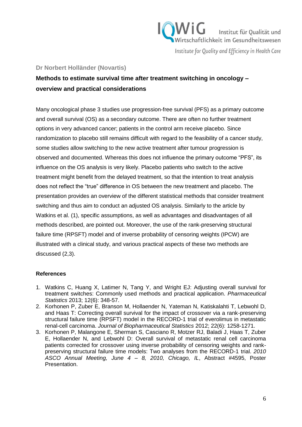# $W$ i $G$  Institut für Qualität und Wirtschaftlichkeit im Gesundheitswesen

Institute for Quality and Efficiency in Health Care

#### **Dr Norbert Holländer (Novartis)**

## **Methods to estimate survival time after treatment switching in oncology – overview and practical considerations**

Many oncological phase 3 studies use progression-free survival (PFS) as a primary outcome and overall survival (OS) as a secondary outcome. There are often no further treatment options in very advanced cancer; patients in the control arm receive placebo. Since randomization to placebo still remains difficult with regard to the feasibility of a cancer study, some studies allow switching to the new active treatment after tumour progression is observed and documented. Whereas this does not influence the primary outcome "PFS", its influence on the OS analysis is very likely. Placebo patients who switch to the active treatment might benefit from the delayed treatment, so that the intention to treat analysis does not reflect the "true" difference in OS between the new treatment and placebo. The presentation provides an overview of the different statistical methods that consider treatment switching and thus aim to conduct an adjusted OS analysis. Similarly to the article by Watkins et al. (1), specific assumptions, as well as advantages and disadvantages of all methods described, are pointed out. Moreover, the use of the rank-preserving structural failure time (RPSFT) model and of inverse probability of censoring weights (IPCW) are illustrated with a clinical study, and various practical aspects of these two methods are discussed (2,3).

#### **References**

- 1. Watkins C, Huang X, Latimer N, Tang Y, and Wright EJ: Adjusting overall survival for treatment switches: Commonly used methods and practical application. *Pharmaceutical Statistics* 2013; 12(6): 348-57.
- 2. Korhonen P, Zuber E, Branson M, Hollaender N, Yateman N, Katiskalahti T, Lebwohl D, and Haas T: Correcting overall survival for the impact of crossover via a rank-preserving structural failure time (RPSFT) model in the RECORD-1 trial of everolimus in metastatic renal-cell carcinoma. *Journal of Biopharmaceutical Statistics* 2012; 22(6): 1258-1271.
- 3. Korhonen P, Malangone E, Sherman S, Casciano R, Motzer RJ, Baladi J, Haas T, Zuber E, Hollaender N, and Lebwohl D: Overall survival of metastatic renal cell carcinoma patients corrected for crossover using inverse probability of censoring weights and rankpreserving structural failure time models: Two analyses from the RECORD-1 trial. *2010 ASCO Annual Meeting, June 4 – 8, 2010, Chicago, IL*, Abstract #4595, Poster Presentation.